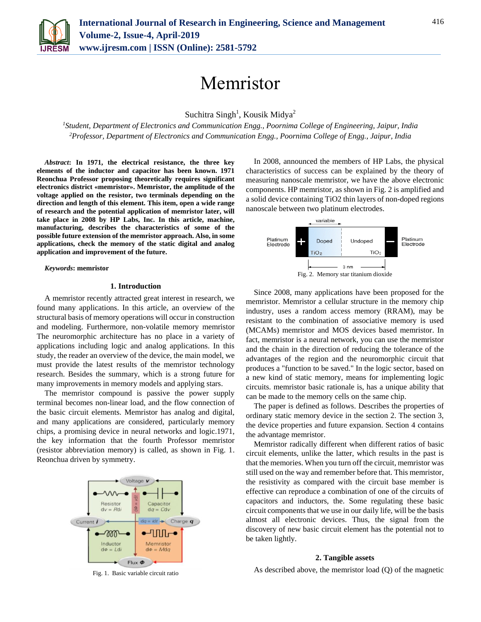

# Memristor

Suchitra Singh<sup>1</sup>, Kousik Midya<sup>2</sup>

*<sup>1</sup>Student, Department of Electronics and Communication Engg., Poornima College of Engineering, Jaipur, India <sup>2</sup>Professor, Department of Electronics and Communication Engg., Poornima College of Engg., Jaipur, India*

*Abstract***: In 1971, the electrical resistance, the three key elements of the inductor and capacitor has been known. 1971 Reonchua Professor proposing theoretically requires significant electronics district «memristor». Memristor, the amplitude of the voltage applied on the resistor, two terminals depending on the direction and length of this element. This item, open a wide range of research and the potential application of memristor later, will take place in 2008 by HP Labs, Inc. In this article, machine, manufacturing, describes the characteristics of some of the possible future extension of the memristor approach. Also, in some applications, check the memory of the static digital and analog application and improvement of the future.**

*Keywords***: memristor**

## **1. Introduction**

A memristor recently attracted great interest in research, we found many applications. In this article, an overview of the structural basis of memory operations will occur in construction and modeling. Furthermore, non-volatile memory memristor The neuromorphic architecture has no place in a variety of applications including logic and analog applications. In this study, the reader an overview of the device, the main model, we must provide the latest results of the memristor technology research. Besides the summary, which is a strong future for many improvements in memory models and applying stars.

The memristor compound is passive the power supply terminal becomes non-linear load, and the flow connection of the basic circuit elements. Memristor has analog and digital, and many applications are considered, particularly memory chips, a promising device in neural networks and logic.1971, the key information that the fourth Professor memristor (resistor abbreviation memory) is called, as shown in Fig. 1. Reonchua driven by symmetry.



Fig. 1. Basic variable circuit ratio

In 2008, announced the members of HP Labs, the physical characteristics of success can be explained by the theory of measuring nanoscale memristor, we have the above electronic components. HP memristor, as shown in Fig. 2 is amplified and a solid device containing TiO2 thin layers of non-doped regions nanoscale between two platinum electrodes.



Since 2008, many applications have been proposed for the memristor. Memristor a cellular structure in the memory chip industry, uses a random access memory (RRAM), may be resistant to the combination of associative memory is used (MCAMs) memristor and MOS devices based memristor. In fact, memristor is a neural network, you can use the memristor and the chain in the direction of reducing the tolerance of the advantages of the region and the neuromorphic circuit that produces a "function to be saved." In the logic sector, based on a new kind of static memory, means for implementing logic circuits. memristor basic rationale is, has a unique ability that can be made to the memory cells on the same chip.

The paper is defined as follows. Describes the properties of ordinary static memory device in the section 2. The section 3, the device properties and future expansion. Section 4 contains the advantage memristor.

Memristor radically different when different ratios of basic circuit elements, unlike the latter, which results in the past is that the memories. When you turn off the circuit, memristor was still used on the way and remember before that. This memristor, the resistivity as compared with the circuit base member is effective can reproduce a combination of one of the circuits of capacitors and inductors, the. Some regulating these basic circuit components that we use in our daily life, will be the basis almost all electronic devices. Thus, the signal from the discovery of new basic circuit element has the potential not to be taken lightly.

## **2. Tangible assets**

As described above, the memristor load (Q) of the magnetic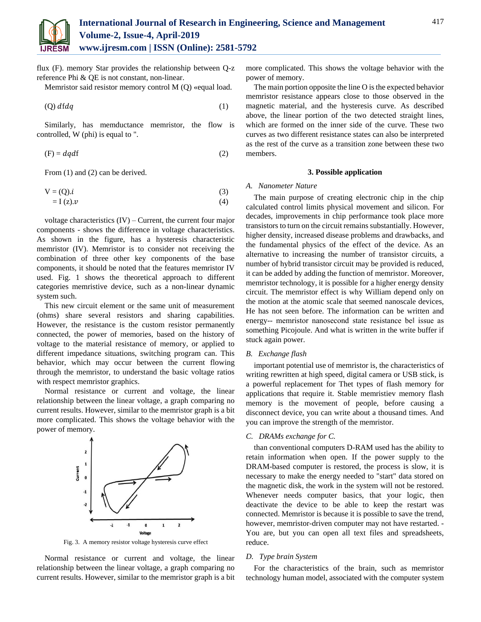

flux (F). memory Star provides the relationship between Q-z reference Phi & QE is not constant, non-linear.

Memristor said resistor memory control M (Q) «equal load.

$$
(Q) \; dfdq \tag{1}
$$

Similarly, has memductance memristor, the flow is controlled, W (phi) is equal to ".

$$
(F) = dqdf
$$
 (2)

From  $(1)$  and  $(2)$  can be derived.

$$
V = (Q).i
$$
 (3)

$$
= I(z).v \tag{4}
$$

voltage characteristics  $(IV)$  – Current, the current four major components - shows the difference in voltage characteristics. As shown in the figure, has a hysteresis characteristic memristor (IV). Memristor is to consider not receiving the combination of three other key components of the base components, it should be noted that the features memristor IV used. Fig. 1 shows the theoretical approach to different categories memristive device, such as a non-linear dynamic system such.

This new circuit element or the same unit of measurement (ohms) share several resistors and sharing capabilities. However, the resistance is the custom resistor permanently connected, the power of memories, based on the history of voltage to the material resistance of memory, or applied to different impedance situations, switching program can. This behavior, which may occur between the current flowing through the memristor, to understand the basic voltage ratios with respect memristor graphics.

Normal resistance or current and voltage, the linear relationship between the linear voltage, a graph comparing no current results. However, similar to the memristor graph is a bit more complicated. This shows the voltage behavior with the power of memory.



Fig. 3. A memory resistor voltage hysteresis curve effect

Normal resistance or current and voltage, the linear relationship between the linear voltage, a graph comparing no current results. However, similar to the memristor graph is a bit more complicated. This shows the voltage behavior with the power of memory.

The main portion opposite the line O is the expected behavior memristor resistance appears close to those observed in the magnetic material, and the hysteresis curve. As described above, the linear portion of the two detected straight lines, which are formed on the inner side of the curve. These two curves as two different resistance states can also be interpreted as the rest of the curve as a transition zone between these two members.

## **3. Possible application**

#### *A. Nanometer Nature*

The main purpose of creating electronic chip in the chip calculated control limits physical movement and silicon. For decades, improvements in chip performance took place more transistors to turn on the circuit remains substantially. However, higher density, increased disease problems and drawbacks, and the fundamental physics of the effect of the device. As an alternative to increasing the number of transistor circuits, a number of hybrid transistor circuit may be provided is reduced, it can be added by adding the function of memristor. Moreover, memristor technology, it is possible for a higher energy density circuit. The memristor effect is why William depend only on the motion at the atomic scale that seemed nanoscale devices, He has not seen before. The information can be written and energy-- memristor nanosecond state resistance be‖ issue as something Picojoule. And what is written in the write buffer if stuck again power.

## *B. Exchange flash*

important potential use of memristor is, the characteristics of writing rewritten at high speed, digital camera or USB stick, is a powerful replacement for Thet types of flash memory for applications that require it. Stable memristiev memory flash memory is the movement of people, before causing a disconnect device, you can write about a thousand times. And you can improve the strength of the memristor.

#### *C. DRAMs exchange for C.*

than conventional computers D-RAM used has the ability to retain information when open. If the power supply to the DRAM-based computer is restored, the process is slow, it is necessary to make the energy needed to "start" data stored on the magnetic disk, the work in the system will not be restored. Whenever needs computer basics, that your logic, then deactivate the device to be able to keep the restart was connected. Memristor is because it is possible to save the trend, however, memristor-driven computer may not have restarted. - You are, but you can open all text files and spreadsheets, reduce.

#### *D. Type brain System*

For the characteristics of the brain, such as memristor technology human model, associated with the computer system